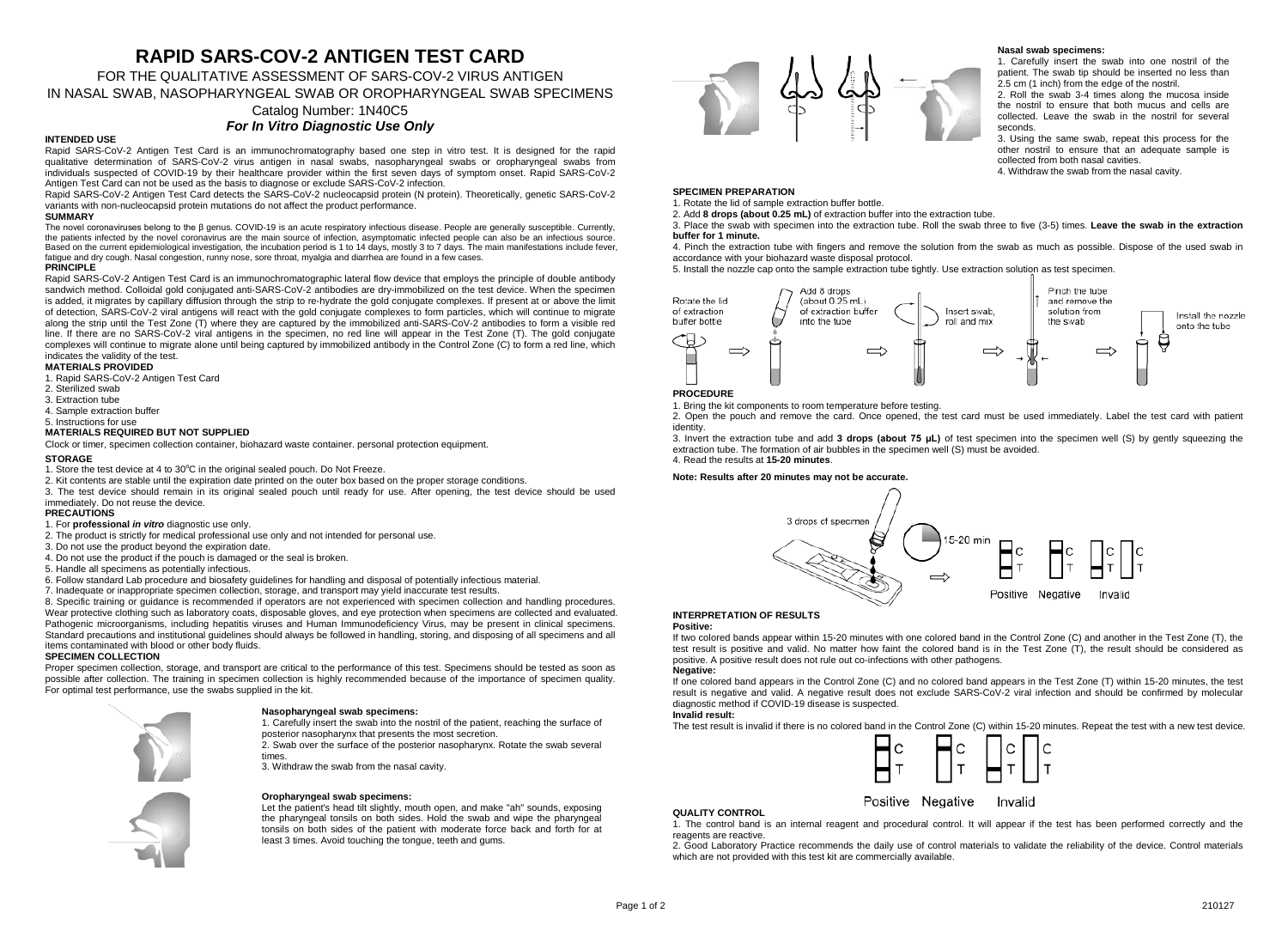# **RAPID SARS-COV-2 ANTIGEN TEST CARD**

FOR THE QUALITATIVE ASSESSMENT OF SARS-COV-2 VIRUS ANTIGEN IN NASAL SWAB, NASOPHARYNGEAL SWAB OR OROPHARYNGEAL SWAB SPECIMENS

# Catalog Number: 1N40C5 *For In Vitro Diagnostic Use Only*

# **INTENDED USE**

Rapid SARS-CoV-2 Antigen Test Card is an immunochromatography based one step in vitro test. It is designed for the rapid qualitative determination of SARS-CoV-2 virus antigen in nasal swabs, nasopharyngeal swabs or oropharyngeal swabs from individuals suspected of COVID-19 by their healthcare provider within the first seven days of symptom onset. Rapid SARS-CoV-2 Antigen Test Card can not be used as the basis to diagnose or exclude SARS-CoV-2 infection.

Rapid SARS-CoV-2 Antigen Test Card detects the SARS-CoV-2 nucleocapsid protein (N protein). Theoretically, genetic SARS-CoV-2 variants with non-nucleocapsid protein mutations do not affect the product performance.

#### **SUMMARY**

The novel coronaviruses belong to the β genus. COVID-19 is an acute respiratory infectious disease. People are generally susceptible. Currently, the patients infected by the novel coronavirus are the main source of infection, asymptomatic infected people can also be an infectious source. Based on the current epidemiological investigation, the incubation period is 1 to 14 days, mostly 3 to 7 days. The main manifestations include fever, fatigue and dry cough. Nasal congestion, runny nose, sore throat, myalgia and diarrhea are found in a few cases.

# **PRINCIPLE**

Rapid SARS-CoV-2 Antigen Test Card is an immunochromatographic lateral flow device that employs the principle of double antibody sandwich method. Colloidal gold conjugated anti-SARS-CoV-2 antibodies are dry-immobilized on the test device. When the specimen is added, it migrates by capillary diffusion through the strip to re-hydrate the gold conjugate complexes. If present at or above the limit of detection, SARS-CoV-2 viral antigens will react with the gold conjugate complexes to form particles, which will continue to migrate along the strip until the Test Zone (T) where they are captured by the immobilized anti-SARS-CoV-2 antibodies to form a visible red line. If there are no SARS-CoV-2 viral antigens in the specimen, no red line will appear in the Test Zone (T). The gold conjugate complexes will continue to migrate alone until being captured by immobilized antibody in the Control Zone (C) to form a red line, which indicates the validity of the test.

#### **MATERIALS PROVIDED**

- 1. Rapid SARS-CoV-2 Antigen Test Card
- 2. Sterilized swab
- 3. Extraction tube
- 4. Sample extraction buffer
- 5. Instructions for use

# **MATERIALS REQUIRED BUT NOT SUPPLIED**

Clock or timer, specimen collection container, biohazard waste container. personal protection equipment.

#### **STORAGE**

- 1. Store the test device at 4 to  $30^{\circ}$ C in the original sealed pouch. Do Not Freeze.
- 2. Kit contents are stable until the expiration date printed on the outer box based on the proper storage conditions.
- 3. The test device should remain in its original sealed pouch until ready for use. After opening, the test device should be used immediately. Do not reuse the device.

# **PRECAUTIONS**

- 1. For **professional** *in vitro* diagnostic use only.
- 2. The product is strictly for medical professional use only and not intended for personal use.
- 3. Do not use the product beyond the expiration date.
- 4. Do not use the product if the pouch is damaged or the seal is broken.
- 5. Handle all specimens as potentially infectious.
- 6. Follow standard Lab procedure and biosafety guidelines for handling and disposal of potentially infectious material.
- 7. Inadequate or inappropriate specimen collection, storage, and transport may yield inaccurate test results.

8. Specific training or guidance is recommended if operators are not experienced with specimen collection and handling procedures. Wear protective clothing such as laboratory coats, disposable gloves, and eye protection when specimens are collected and evaluated. Pathogenic microorganisms, including hepatitis viruses and Human Immunodeficiency Virus, may be present in clinical specimens. Standard precautions and institutional guidelines should always be followed in handling, storing, and disposing of all specimens and all items contaminated with blood or other body fluids.

# **SPECIMEN COLLECTION**

Proper specimen collection, storage, and transport are critical to the performance of this test. Specimens should be tested as soon as possible after collection. The training in specimen collection is highly recommended because of the importance of specimen quality. For optimal test performance, use the swabs supplied in the kit.



### **Nasopharyngeal swab specimens:**

**Oropharyngeal swab specimens:**

1. Carefully insert the swab into the nostril of the patient, reaching the surface of posterior nasopharynx that presents the most secretion.

2. Swab over the surface of the posterior nasopharynx. Rotate the swab several times.

Let the patient's head tilt slightly, mouth open, and make "ah" sounds, exposing the pharyngeal tonsils on both sides. Hold the swab and wipe the pharyngeal tonsils on both sides of the patient with moderate force back and forth for at

3. Withdraw the swab from the nasal cavity.

least 3 times. Avoid touching the tongue, teeth and gums.





#### **Nasal swab specimens:**

1. Carefully insert the swab into one nostril of the patient. The swab tip should be inserted no less than 2.5 cm (1 inch) from the edge of the nostril.

2. Roll the swab 3-4 times along the mucosa inside the nostril to ensure that both mucus and cells are collected. Leave the swab in the nostril for several seconds.

3. Using the same swab, repeat this process for the other nostril to ensure that an adequate sample is collected from both nasal cavities. 4. Withdraw the swab from the nasal cavity.

#### **SPECIMEN PREPARATION**

- 1. Rotate the lid of sample extraction buffer bottle.
- 2. Add **8 drops (about 0.25 mL)** of extraction buffer into the extraction tube.

3. Place the swab with specimen into the extraction tube. Roll the swab three to five (3-5) times. **Leave the swab in the extraction buffer for 1 minute.**

- 4. Pinch the extraction tube with fingers and remove the solution from the swab as much as possible. Dispose of the used swab in accordance with your biohazard waste disposal protocol.
- 5. Install the nozzle cap onto the sample extraction tube tightly. Use extraction solution as test specimen.



1. Bring the kit components to room temperature before testing.

2. Open the pouch and remove the card. Once opened, the test card must be used immediately. Label the test card with patient

3. Invert the extraction tube and add **3 drops (about 75 μL)** of test specimen into the specimen well (S) by gently squeezing the extraction tube. The formation of air bubbles in the specimen well (S) must be avoided. 4. Read the results at **15-20 minutes**.

#### **Note: Results after 20 minutes may not be accurate.**



# **INTERPRETATION OF RESULTS**

**Positive:**

If two colored bands appear within 15-20 minutes with one colored band in the Control Zone (C) and another in the Test Zone (T), the test result is positive and valid. No matter how faint the colored band is in the Test Zone (T), the result should be considered as positive. A positive result does not rule out co-infections with other pathogens.

#### **Negative:**

If one colored band appears in the Control Zone (C) and no colored band appears in the Test Zone (T) within 15-20 minutes, the test result is negative and valid. A negative result does not exclude SARS-CoV-2 viral infection and should be confirmed by molecular diagnostic method if COVID-19 disease is suspected.

#### **Invalid result:**

The test result is invalid if there is no colored band in the Control Zone (C) within 15-20 minutes. Repeat the test with a new test device.



Invalid

#### **QUALITY CONTROL**

1. The control band is an internal reagent and procedural control. It will appear if the test has been performed correctly and the reagents are reactive.

Positive Negative

2. Good Laboratory Practice recommends the daily use of control materials to validate the reliability of the device. Control materials which are not provided with this test kit are commercially available.